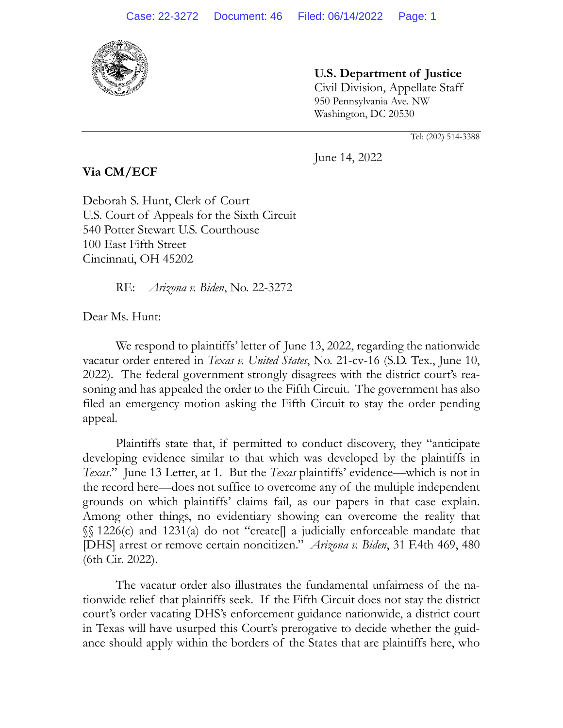

**U.S. Department of Justice** Civil Division, Appellate Staff 950 Pennsylvania Ave. NW

Tel: (202) 514-3388

June 14, 2022

Washington, DC 20530

**Via CM/ECF**

Deborah S. Hunt, Clerk of Court U.S. Court of Appeals for the Sixth Circuit 540 Potter Stewart U.S. Courthouse 100 East Fifth Street Cincinnati, OH 45202

RE: *Arizona v. Biden*, No. 22-3272

Dear Ms. Hunt:

We respond to plaintiffs' letter of June 13, 2022, regarding the nationwide vacatur order entered in *Texas v. United States*, No. 21-cv-16 (S.D. Tex., June 10, 2022). The federal government strongly disagrees with the district court's reasoning and has appealed the order to the Fifth Circuit. The government has also filed an emergency motion asking the Fifth Circuit to stay the order pending appeal.

Plaintiffs state that, if permitted to conduct discovery, they "anticipate developing evidence similar to that which was developed by the plaintiffs in *Texas*." June 13 Letter, at 1. But the *Texas* plaintiffs' evidence—which is not in the record here—does not suffice to overcome any of the multiple independent grounds on which plaintiffs' claims fail, as our papers in that case explain. Among other things, no evidentiary showing can overcome the reality that §§ 1226(c) and 1231(a) do not "create[] a judicially enforceable mandate that [DHS] arrest or remove certain noncitizen." *Arizona v. Biden*, 31 F.4th 469, 480 (6th Cir. 2022).

The vacatur order also illustrates the fundamental unfairness of the nationwide relief that plaintiffs seek. If the Fifth Circuit does not stay the district court's order vacating DHS's enforcement guidance nationwide, a district court in Texas will have usurped this Court's prerogative to decide whether the guidance should apply within the borders of the States that are plaintiffs here, who